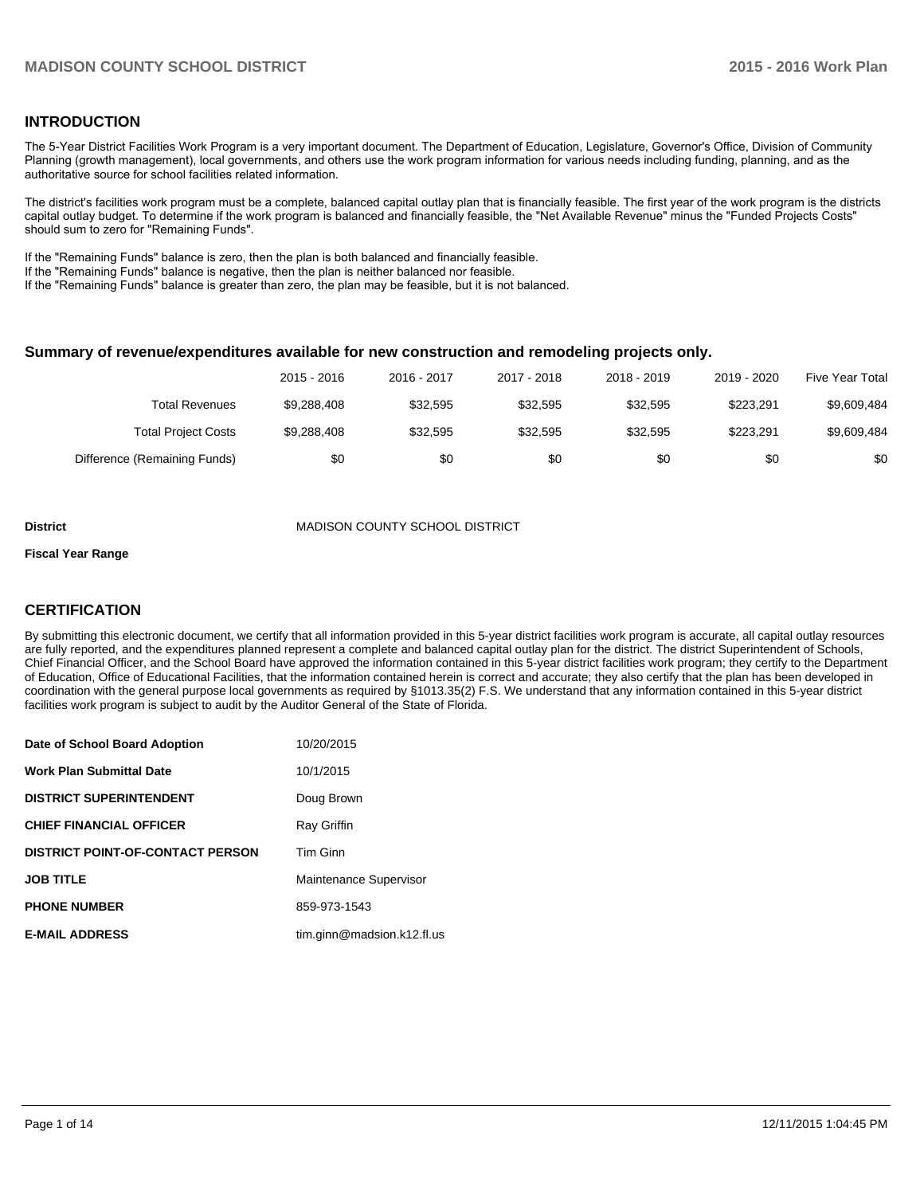# **INTRODUCTION**

The 5-Year District Facilities Work Program is a very important document. The Department of Education, Legislature, Governor's Office, Division of Community Planning (growth management), local governments, and others use the work program information for various needs including funding, planning, and as the authoritative source for school facilities related information.

The district's facilities work program must be a complete, balanced capital outlay plan that is financially feasible. The first year of the work program is the districts capital outlay budget. To determine if the work program is balanced and financially feasible, the "Net Available Revenue" minus the "Funded Projects Costs" should sum to zero for "Remaining Funds".

If the "Remaining Funds" balance is zero, then the plan is both balanced and financially feasible.

If the "Remaining Funds" balance is negative, then the plan is neither balanced nor feasible.

If the "Remaining Funds" balance is greater than zero, the plan may be feasible, but it is not balanced.

#### **Summary of revenue/expenditures available for new construction and remodeling projects only.**

|                              | 2015 - 2016 | 2016 - 2017 | 2017 - 2018 | $2018 - 2019$ | 2019 - 2020 | <b>Five Year Total</b> |
|------------------------------|-------------|-------------|-------------|---------------|-------------|------------------------|
| Total Revenues               | \$9,288,408 | \$32.595    | \$32.595    | \$32,595      | \$223.291   | \$9,609,484            |
| <b>Total Project Costs</b>   | \$9,288,408 | \$32.595    | \$32,595    | \$32,595      | \$223.291   | \$9,609,484            |
| Difference (Remaining Funds) | \$0         | \$0         | \$0         | \$0           | \$0         | \$0                    |

#### **District** MADISON COUNTY SCHOOL DISTRICT

#### **Fiscal Year Range**

# **CERTIFICATION**

By submitting this electronic document, we certify that all information provided in this 5-year district facilities work program is accurate, all capital outlay resources are fully reported, and the expenditures planned represent a complete and balanced capital outlay plan for the district. The district Superintendent of Schools, Chief Financial Officer, and the School Board have approved the information contained in this 5-year district facilities work program; they certify to the Department of Education, Office of Educational Facilities, that the information contained herein is correct and accurate; they also certify that the plan has been developed in coordination with the general purpose local governments as required by §1013.35(2) F.S. We understand that any information contained in this 5-year district facilities work program is subject to audit by the Auditor General of the State of Florida.

| Date of School Board Adoption           | 10/20/2015                 |
|-----------------------------------------|----------------------------|
| Work Plan Submittal Date                | 10/1/2015                  |
| <b>DISTRICT SUPERINTENDENT</b>          | Doug Brown                 |
| <b>CHIEF FINANCIAL OFFICER</b>          | Ray Griffin                |
| <b>DISTRICT POINT-OF-CONTACT PERSON</b> | Tim Ginn                   |
| <b>JOB TITLE</b>                        | Maintenance Supervisor     |
| <b>PHONE NUMBER</b>                     | 859-973-1543               |
| <b>E-MAIL ADDRESS</b>                   | tim.ginn@madsion.k12.fl.us |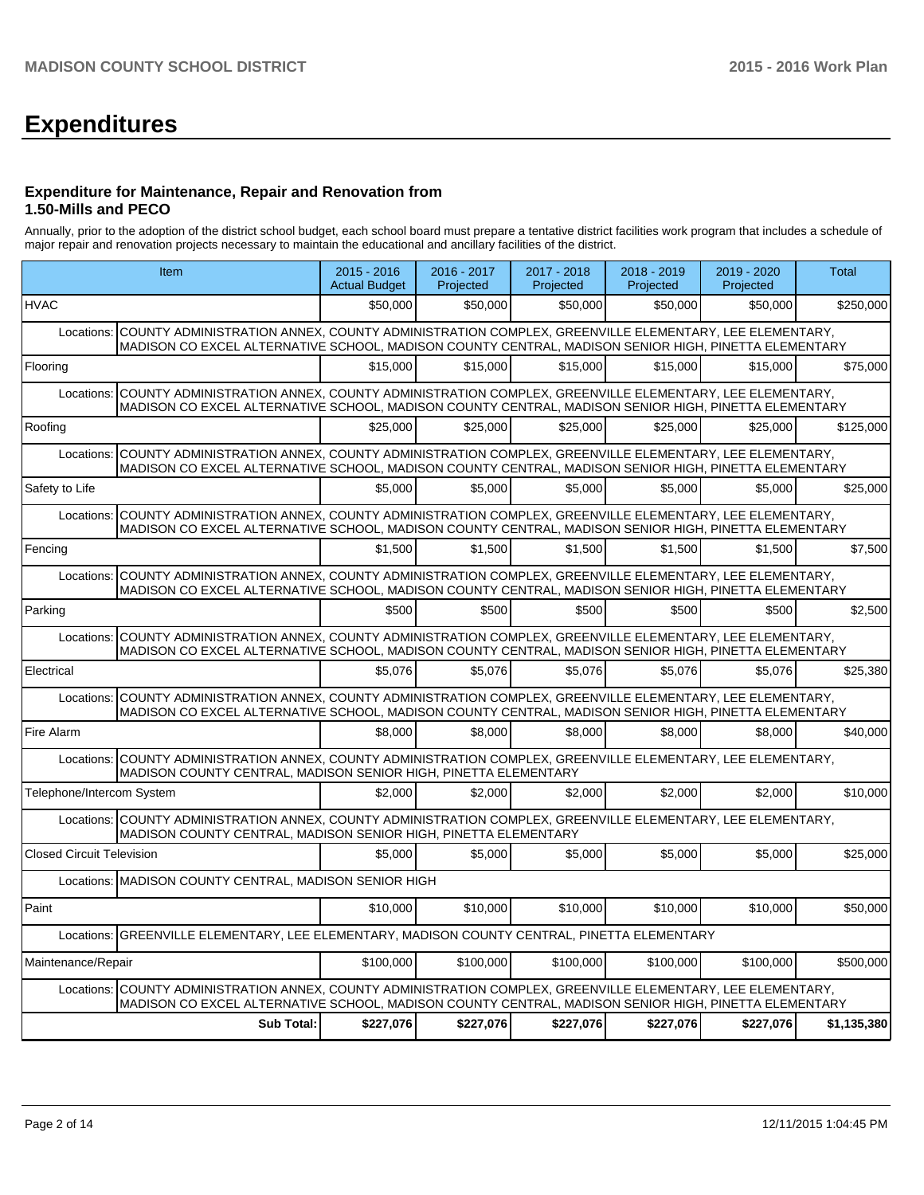# **Expenditures**

#### **Expenditure for Maintenance, Repair and Renovation from 1.50-Mills and PECO**

Annually, prior to the adoption of the district school budget, each school board must prepare a tentative district facilities work program that includes a schedule of major repair and renovation projects necessary to maintain the educational and ancillary facilities of the district.

|                                  | Item                                                                                                                                                                                                                  | $2015 - 2016$<br><b>Actual Budget</b> | 2016 - 2017<br>Projected | 2017 - 2018<br>Projected | 2018 - 2019<br>Projected | 2019 - 2020<br>Projected | <b>Total</b> |
|----------------------------------|-----------------------------------------------------------------------------------------------------------------------------------------------------------------------------------------------------------------------|---------------------------------------|--------------------------|--------------------------|--------------------------|--------------------------|--------------|
| <b>HVAC</b>                      |                                                                                                                                                                                                                       | \$50,000                              | \$50,000                 | \$50,000                 | \$50,000                 | \$50,000                 | \$250,000    |
| Locations:                       | COUNTY ADMINISTRATION ANNEX, COUNTY ADMINISTRATION COMPLEX, GREENVILLE ELEMENTARY, LEE ELEMENTARY,<br>MADISON CO EXCEL ALTERNATIVE SCHOOL, MADISON COUNTY CENTRAL, MADISON SENIOR HIGH, PINETTA ELEMENTARY            |                                       |                          |                          |                          |                          |              |
| Flooring                         |                                                                                                                                                                                                                       | \$15,000                              | \$15,000                 | \$15,000                 | \$15,000                 | \$15,000                 | \$75,000     |
| Locations:                       | COUNTY ADMINISTRATION ANNEX, COUNTY ADMINISTRATION COMPLEX, GREENVILLE ELEMENTARY, LEE ELEMENTARY,<br>MADISON CO EXCEL ALTERNATIVE SCHOOL, MADISON COUNTY CENTRAL, MADISON SENIOR HIGH, PINETTA ELEMENTARY            |                                       |                          |                          |                          |                          |              |
| Roofing                          |                                                                                                                                                                                                                       | \$25,000                              | \$25,000                 | \$25,000                 | \$25,000                 | \$25,000                 | \$125,000    |
| Locations:                       | COUNTY ADMINISTRATION ANNEX, COUNTY ADMINISTRATION COMPLEX, GREENVILLE ELEMENTARY, LEE ELEMENTARY,<br>MADISON CO EXCEL ALTERNATIVE SCHOOL, MADISON COUNTY CENTRAL, MADISON SENIOR HIGH, PINETTA ELEMENTARY            |                                       |                          |                          |                          |                          |              |
| Safety to Life                   |                                                                                                                                                                                                                       | \$5,000                               | \$5,000                  | \$5,000                  | \$5,000                  | \$5.000                  | \$25,000     |
| Locations:                       | COUNTY ADMINISTRATION ANNEX, COUNTY ADMINISTRATION COMPLEX, GREENVILLE ELEMENTARY, LEE ELEMENTARY,<br>MADISON CO EXCEL ALTERNATIVE SCHOOL, MADISON COUNTY CENTRAL, MADISON SENIOR HIGH, PINETTA ELEMENTARY            |                                       |                          |                          |                          |                          |              |
| Fencing                          |                                                                                                                                                                                                                       | \$1.500                               | \$1.500                  | \$1.500                  | \$1,500                  | \$1,500                  | \$7,500      |
|                                  | Locations: COUNTY ADMINISTRATION ANNEX, COUNTY ADMINISTRATION COMPLEX, GREENVILLE ELEMENTARY, LEE ELEMENTARY,<br>MADISON CO EXCEL ALTERNATIVE SCHOOL, MADISON COUNTY CENTRAL, MADISON SENIOR HIGH, PINETTA ELEMENTARY |                                       |                          |                          |                          |                          |              |
| Parking                          |                                                                                                                                                                                                                       | \$500                                 | \$500                    | \$500                    | \$500                    | \$500                    | \$2,500      |
|                                  | Locations: COUNTY ADMINISTRATION ANNEX, COUNTY ADMINISTRATION COMPLEX, GREENVILLE ELEMENTARY, LEE ELEMENTARY,<br>MADISON CO EXCEL ALTERNATIVE SCHOOL, MADISON COUNTY CENTRAL, MADISON SENIOR HIGH, PINETTA ELEMENTARY |                                       |                          |                          |                          |                          |              |
| Electrical                       |                                                                                                                                                                                                                       | \$5.076                               | \$5.076                  | \$5.076                  | \$5,076                  | \$5,076                  | \$25,380     |
|                                  | Locations: COUNTY ADMINISTRATION ANNEX, COUNTY ADMINISTRATION COMPLEX, GREENVILLE ELEMENTARY, LEE ELEMENTARY,<br>MADISON CO EXCEL ALTERNATIVE SCHOOL, MADISON COUNTY CENTRAL, MADISON SENIOR HIGH, PINETTA ELEMENTARY |                                       |                          |                          |                          |                          |              |
| Fire Alarm                       |                                                                                                                                                                                                                       | \$8,000                               | \$8,000                  | \$8,000                  | \$8,000                  | \$8,000                  | \$40,000     |
|                                  | Locations: COUNTY ADMINISTRATION ANNEX, COUNTY ADMINISTRATION COMPLEX, GREENVILLE ELEMENTARY, LEE ELEMENTARY,<br>MADISON COUNTY CENTRAL, MADISON SENIOR HIGH, PINETTA ELEMENTARY                                      |                                       |                          |                          |                          |                          |              |
| Telephone/Intercom System        |                                                                                                                                                                                                                       | \$2.000                               | \$2,000                  | \$2.000                  | \$2.000                  | \$2.000                  | \$10,000     |
|                                  | Locations: COUNTY ADMINISTRATION ANNEX, COUNTY ADMINISTRATION COMPLEX, GREENVILLE ELEMENTARY, LEE ELEMENTARY,<br>MADISON COUNTY CENTRAL, MADISON SENIOR HIGH, PINETTA ELEMENTARY                                      |                                       |                          |                          |                          |                          |              |
| <b>Closed Circuit Television</b> |                                                                                                                                                                                                                       | \$5.000                               | \$5.000                  | \$5,000                  | \$5,000                  | \$5,000                  | \$25,000     |
|                                  | Locations: MADISON COUNTY CENTRAL, MADISON SENIOR HIGH                                                                                                                                                                |                                       |                          |                          |                          |                          |              |
| Paint                            |                                                                                                                                                                                                                       | \$10,000                              | \$10,000                 | \$10,000                 | \$10,000                 | \$10,000                 | \$50,000     |
| Locations:                       | GREENVILLE ELEMENTARY, LEE ELEMENTARY, MADISON COUNTY CENTRAL, PINETTA ELEMENTARY                                                                                                                                     |                                       |                          |                          |                          |                          |              |
| Maintenance/Repair               |                                                                                                                                                                                                                       | \$100,000                             | \$100,000                | \$100,000                | \$100,000                | \$100,000                | \$500,000    |
| Locations:                       | COUNTY ADMINISTRATION ANNEX, COUNTY ADMINISTRATION COMPLEX, GREENVILLE ELEMENTARY, LEE ELEMENTARY,<br>MADISON CO EXCEL ALTERNATIVE SCHOOL, MADISON COUNTY CENTRAL, MADISON SENIOR HIGH, PINETTA ELEMENTARY            |                                       |                          |                          |                          |                          |              |
|                                  | <b>Sub Total:</b>                                                                                                                                                                                                     | \$227,076                             | \$227,076                | \$227,076                | \$227,076                | \$227,076                | \$1,135,380  |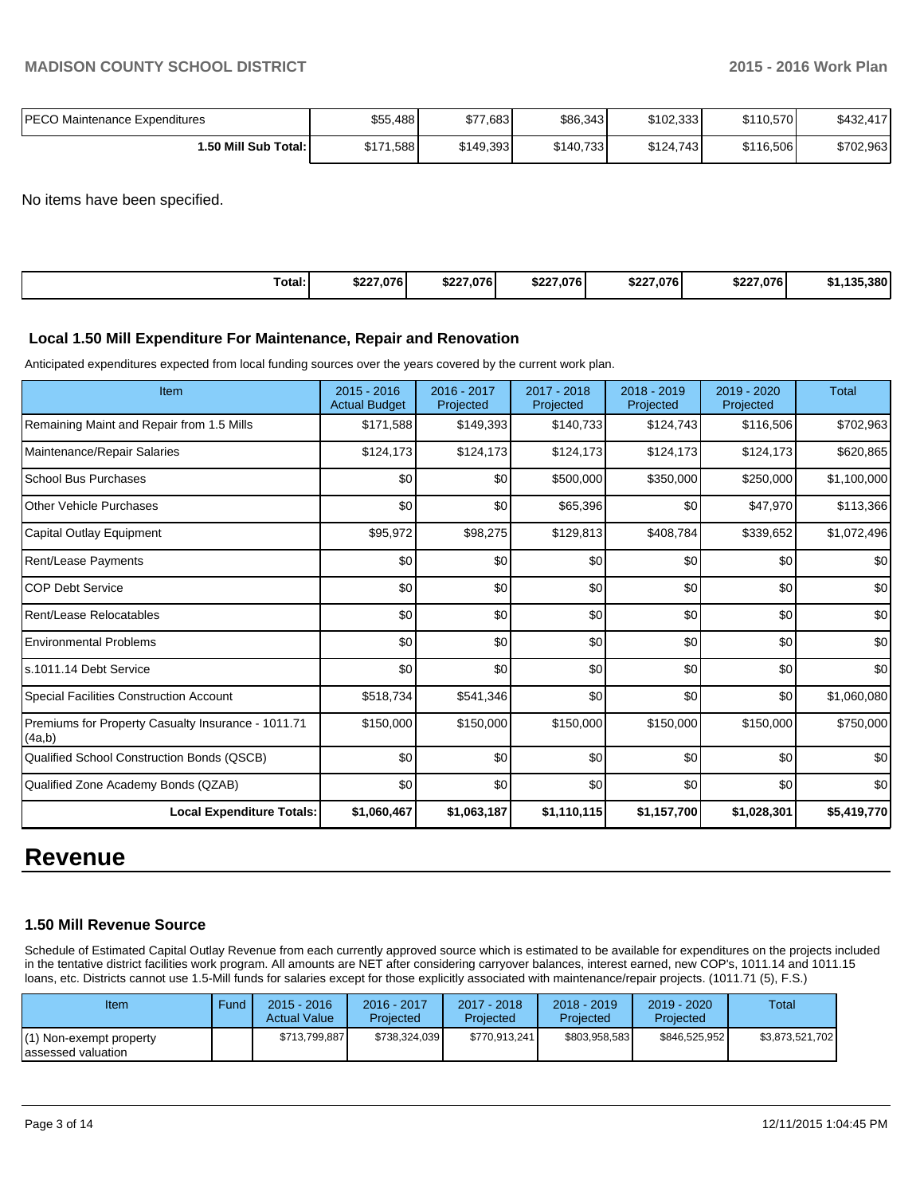| PECO Maintenance Expenditures | \$55,488  | \$77,683  | \$86,343  | \$102,333 | \$110,570 | \$432,417 |
|-------------------------------|-----------|-----------|-----------|-----------|-----------|-----------|
| <b>1.50 Mill Sub Total: I</b> | \$171,588 | \$149,393 | \$140,733 | \$124,743 | \$116,506 | \$702,963 |

No items have been specified.

|  | Total: | \$227.076 | \$227.076 | \$227.076 | \$227,076 | \$227.076 | 135.380<br>. 49F |
|--|--------|-----------|-----------|-----------|-----------|-----------|------------------|
|--|--------|-----------|-----------|-----------|-----------|-----------|------------------|

#### **Local 1.50 Mill Expenditure For Maintenance, Repair and Renovation**

Anticipated expenditures expected from local funding sources over the years covered by the current work plan.

| Item                                                         | $2015 - 2016$<br><b>Actual Budget</b> | 2016 - 2017<br>Projected | 2017 - 2018<br>Projected | 2018 - 2019<br>Projected | 2019 - 2020<br>Projected | <b>Total</b> |
|--------------------------------------------------------------|---------------------------------------|--------------------------|--------------------------|--------------------------|--------------------------|--------------|
| Remaining Maint and Repair from 1.5 Mills                    | \$171,588                             | \$149,393                | \$140,733                | \$124,743                | \$116,506                | \$702,963    |
| Maintenance/Repair Salaries                                  | \$124,173                             | \$124,173                | \$124,173                | \$124,173                | \$124,173                | \$620,865    |
| School Bus Purchases                                         | \$0                                   | \$0                      | \$500,000                | \$350,000                | \$250,000                | \$1,100,000  |
| <b>Other Vehicle Purchases</b>                               | \$0                                   | \$0                      | \$65,396                 | \$0                      | \$47,970                 | \$113,366    |
| Capital Outlay Equipment                                     | \$95,972                              | \$98,275                 | \$129,813                | \$408,784                | \$339,652                | \$1,072,496  |
| Rent/Lease Payments                                          | \$0                                   | \$0                      | \$0                      | \$0                      | \$0                      | \$0          |
| <b>COP Debt Service</b>                                      | \$0                                   | \$0                      | \$0                      | \$0                      | \$0                      | \$0          |
| Rent/Lease Relocatables                                      | \$0                                   | \$0                      | \$0                      | \$0                      | \$0                      | \$0          |
| <b>Environmental Problems</b>                                | \$0                                   | \$0                      | \$0                      | \$0                      | \$0                      | \$0          |
| s.1011.14 Debt Service                                       | \$0                                   | \$0                      | \$0                      | \$0                      | \$0                      | \$0          |
| <b>Special Facilities Construction Account</b>               | \$518,734                             | \$541,346                | \$0                      | \$0                      | \$0                      | \$1,060,080  |
| Premiums for Property Casualty Insurance - 1011.71<br>(4a,b) | \$150,000                             | \$150,000                | \$150,000                | \$150,000                | \$150,000                | \$750,000    |
| Qualified School Construction Bonds (QSCB)                   | \$0                                   | \$0                      | \$0                      | \$0                      | \$0                      | \$0          |
| Qualified Zone Academy Bonds (QZAB)                          | \$0                                   | \$0                      | \$0                      | \$0                      | \$0                      | \$0          |
| <b>Local Expenditure Totals:</b>                             | \$1,060,467                           | \$1,063,187              | \$1,110,115              | \$1,157,700              | \$1,028,301              | \$5,419,770  |

# **Revenue**

#### **1.50 Mill Revenue Source**

Schedule of Estimated Capital Outlay Revenue from each currently approved source which is estimated to be available for expenditures on the projects included in the tentative district facilities work program. All amounts are NET after considering carryover balances, interest earned, new COP's, 1011.14 and 1011.15 loans, etc. Districts cannot use 1.5-Mill funds for salaries except for those explicitly associated with maintenance/repair projects. (1011.71 (5), F.S.)

| Item                                          | Fund | $2015 - 2016$<br><b>Actual Value</b> | 2016 - 2017<br>Projected | $2017 - 2018$<br>Projected | $2018 - 2019$<br>Projected | $2019 - 2020$<br>Projected | Total           |
|-----------------------------------------------|------|--------------------------------------|--------------------------|----------------------------|----------------------------|----------------------------|-----------------|
| (1) Non-exempt property<br>assessed valuation |      | \$713,799,887                        | \$738,324,039            | \$770,913,241              | \$803.958.583              | \$846.525.952              | \$3,873,521,702 |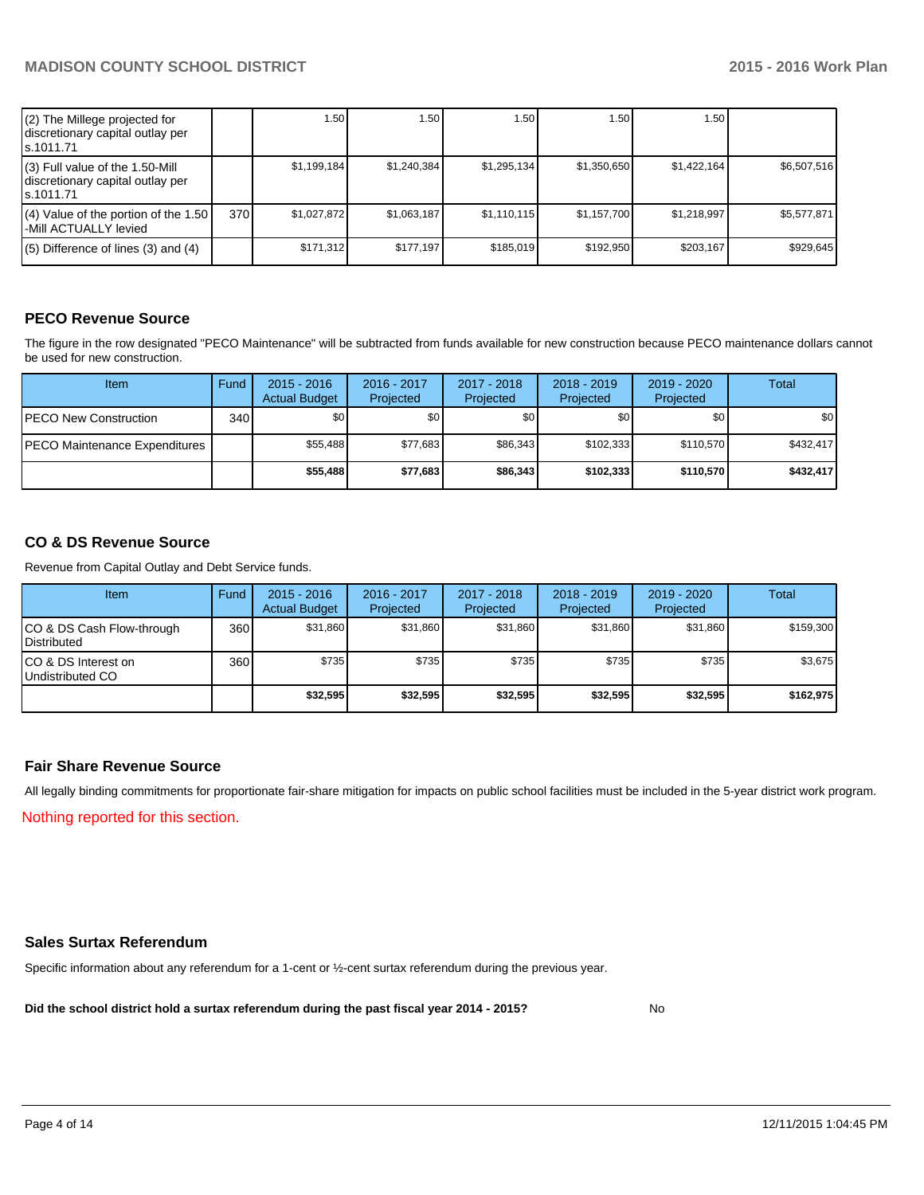| (2) The Millege projected for<br>discretionary capital outlay per<br>ls.1011.71   |     | 1.50        | .50 <sub>1</sub> | 1.50        | 1.50        | 1.50        |             |
|-----------------------------------------------------------------------------------|-----|-------------|------------------|-------------|-------------|-------------|-------------|
| (3) Full value of the 1.50-Mill<br>discretionary capital outlay per<br>ls.1011.71 |     | \$1.199.184 | \$1.240.384      | \$1,295,134 | \$1.350.650 | \$1.422.164 | \$6.507.516 |
| (4) Value of the portion of the 1.50<br>-Mill ACTUALLY levied                     | 370 | \$1.027.872 | \$1,063,187      | \$1,110,115 | \$1,157,700 | \$1,218,997 | \$5,577,871 |
| $(5)$ Difference of lines (3) and (4)                                             |     | \$171,312   | \$177.197        | \$185,019   | \$192.950   | \$203,167   | \$929,645   |

# **PECO Revenue Source**

The figure in the row designated "PECO Maintenance" will be subtracted from funds available for new construction because PECO maintenance dollars cannot be used for new construction.

| <b>Item</b>                          | Fund | $2015 - 2016$<br><b>Actual Budget</b> | 2016 - 2017<br>Projected | 2017 - 2018<br>Projected | $2018 - 2019$<br>Projected | $2019 - 2020$<br>Projected | Total            |
|--------------------------------------|------|---------------------------------------|--------------------------|--------------------------|----------------------------|----------------------------|------------------|
| <b>PECO New Construction</b>         | 340  | \$0 <sub>0</sub>                      | \$0                      | \$0                      | \$0                        | \$0 I                      | \$0 <sub>1</sub> |
| <b>PECO Maintenance Expenditures</b> |      | \$55.488                              | \$77.683                 | \$86.343                 | \$102.333                  | \$110.570                  | \$432.417        |
|                                      |      | \$55,488                              | \$77,683                 | \$86,343                 | \$102.333                  | \$110,570                  | \$432,417        |

# **CO & DS Revenue Source**

Revenue from Capital Outlay and Debt Service funds.

| Item                                               | Fund | $2015 - 2016$<br><b>Actual Budget</b> | 2016 - 2017<br>Projected | $2017 - 2018$<br>Projected | $2018 - 2019$<br>Projected | $2019 - 2020$<br>Projected | Total     |
|----------------------------------------------------|------|---------------------------------------|--------------------------|----------------------------|----------------------------|----------------------------|-----------|
| ICO & DS Cash Flow-through<br><b>I</b> Distributed | 360  | \$31,860                              | \$31.860                 | \$31.860                   | \$31.860                   | \$31,860                   | \$159,300 |
| ICO & DS Interest on<br>Undistributed CO           | 360  | \$735                                 | \$735                    | \$735                      | \$735                      | \$735                      | \$3,675   |
|                                                    |      | \$32,595                              | \$32,595                 | \$32,595                   | \$32,595                   | \$32,595                   | \$162,975 |

#### **Fair Share Revenue Source**

Nothing reported for this section. All legally binding commitments for proportionate fair-share mitigation for impacts on public school facilities must be included in the 5-year district work program.

#### **Sales Surtax Referendum**

Specific information about any referendum for a 1-cent or ½-cent surtax referendum during the previous year.

**Did the school district hold a surtax referendum during the past fiscal year 2014 - 2015?**

No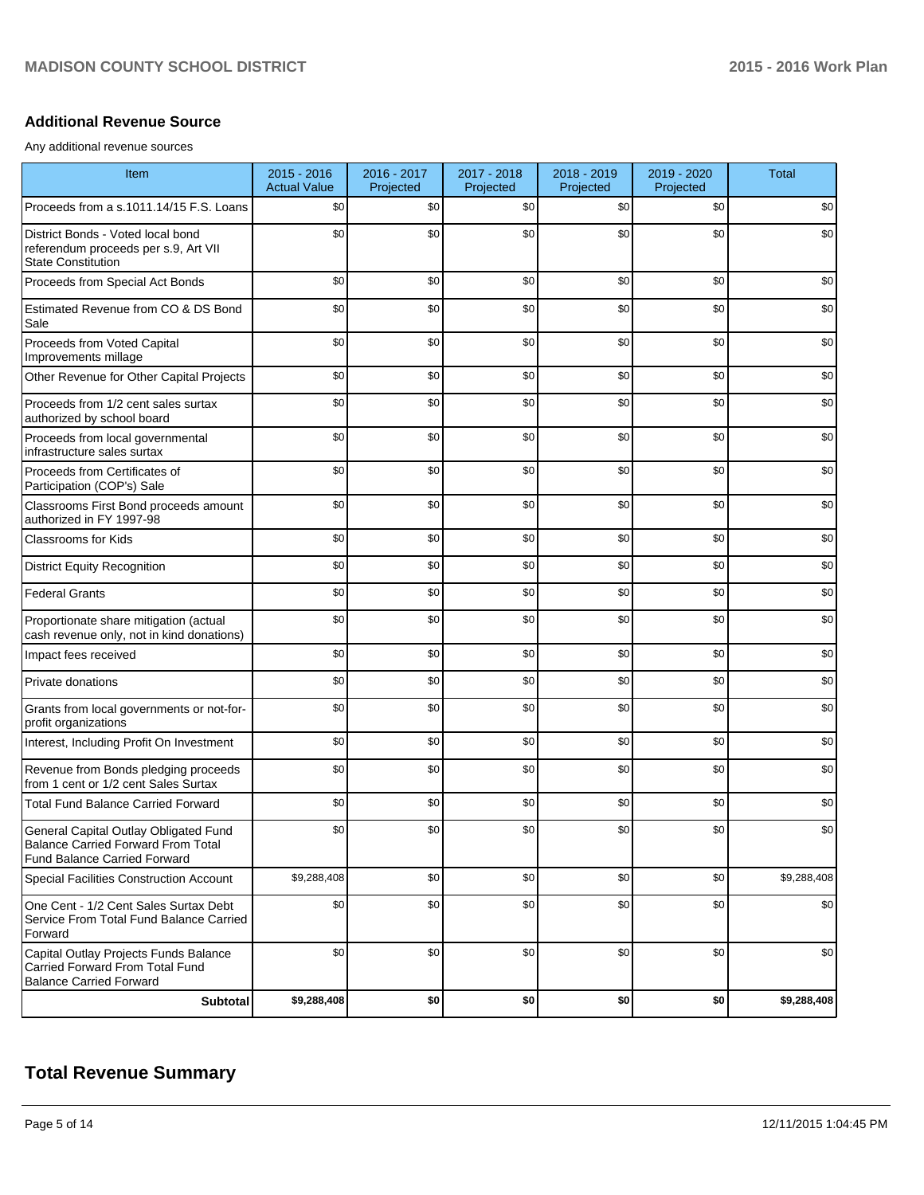### **Additional Revenue Source**

Any additional revenue sources

| Item                                                                                                                      | $2015 - 2016$<br><b>Actual Value</b> | 2016 - 2017<br>Projected | 2017 - 2018<br>Projected | 2018 - 2019<br>Projected | 2019 - 2020<br>Projected | <b>Total</b> |
|---------------------------------------------------------------------------------------------------------------------------|--------------------------------------|--------------------------|--------------------------|--------------------------|--------------------------|--------------|
| Proceeds from a s.1011.14/15 F.S. Loans                                                                                   | \$0                                  | \$0                      | \$0                      | \$0                      | \$0                      | \$0          |
| District Bonds - Voted local bond<br>referendum proceeds per s.9, Art VII<br><b>State Constitution</b>                    | \$0                                  | \$0                      | \$0                      | \$0                      | \$0                      | \$0          |
| Proceeds from Special Act Bonds                                                                                           | \$0                                  | \$0                      | \$0                      | \$0                      | \$0                      | \$0          |
| Estimated Revenue from CO & DS Bond<br>Sale                                                                               | \$0                                  | \$0                      | \$0                      | \$0                      | \$0                      | \$0          |
| Proceeds from Voted Capital<br>Improvements millage                                                                       | \$0                                  | \$0                      | \$0                      | \$0                      | \$0                      | \$0          |
| Other Revenue for Other Capital Projects                                                                                  | \$0                                  | \$0                      | \$0                      | \$0                      | \$0                      | \$0          |
| Proceeds from 1/2 cent sales surtax<br>authorized by school board                                                         | \$0                                  | \$0                      | \$0                      | \$0                      | \$0                      | \$0          |
| Proceeds from local governmental<br>infrastructure sales surtax                                                           | \$0                                  | \$0                      | \$0                      | \$0                      | \$0                      | \$0          |
| Proceeds from Certificates of<br>Participation (COP's) Sale                                                               | \$0                                  | \$0                      | \$0                      | \$0                      | \$0                      | \$0          |
| Classrooms First Bond proceeds amount<br>authorized in FY 1997-98                                                         | \$0                                  | \$0                      | \$0                      | \$0                      | \$0                      | \$0          |
| <b>Classrooms for Kids</b>                                                                                                | \$0                                  | \$0                      | \$0                      | \$0                      | \$0                      | \$0          |
| <b>District Equity Recognition</b>                                                                                        | \$0                                  | \$0                      | \$0                      | \$0                      | \$0                      | \$0          |
| <b>Federal Grants</b>                                                                                                     | \$0                                  | \$0                      | \$0                      | \$0                      | \$0                      | \$0          |
| Proportionate share mitigation (actual<br>cash revenue only, not in kind donations)                                       | \$0                                  | \$0                      | \$0                      | \$0                      | \$0                      | \$0          |
| Impact fees received                                                                                                      | \$0                                  | \$0                      | \$0                      | \$0                      | \$0                      | \$0          |
| Private donations                                                                                                         | \$0                                  | \$0                      | \$0                      | \$0                      | \$0                      | \$0          |
| Grants from local governments or not-for-<br>profit organizations                                                         | \$0                                  | \$0                      | \$0                      | \$0                      | \$0                      | \$0          |
| Interest, Including Profit On Investment                                                                                  | \$0                                  | \$0                      | \$0                      | \$0                      | \$0                      | \$0          |
| Revenue from Bonds pledging proceeds<br>from 1 cent or 1/2 cent Sales Surtax                                              | \$0                                  | \$0                      | \$0                      | \$0                      | \$0                      | \$0          |
| <b>Total Fund Balance Carried Forward</b>                                                                                 | \$0                                  | \$0                      | \$0                      | \$0                      | \$0                      | \$0          |
| General Capital Outlay Obligated Fund<br><b>Balance Carried Forward From Total</b><br><b>Fund Balance Carried Forward</b> | \$0                                  | \$0                      | \$0                      | \$0                      | \$0                      | \$0          |
| <b>Special Facilities Construction Account</b>                                                                            | \$9,288,408                          | \$0                      | \$0                      | \$0                      | \$0                      | \$9,288,408  |
| One Cent - 1/2 Cent Sales Surtax Debt<br>Service From Total Fund Balance Carried<br>Forward                               | \$0                                  | \$0                      | \$0                      | \$0                      | \$0                      | \$0          |
| Capital Outlay Projects Funds Balance<br>Carried Forward From Total Fund<br><b>Balance Carried Forward</b>                | \$0                                  | \$0                      | \$0                      | \$0                      | \$0                      | \$0          |
| Subtotal                                                                                                                  | \$9,288,408                          | \$0                      | \$0                      | \$0                      | \$0                      | \$9,288,408  |

# **Total Revenue Summary**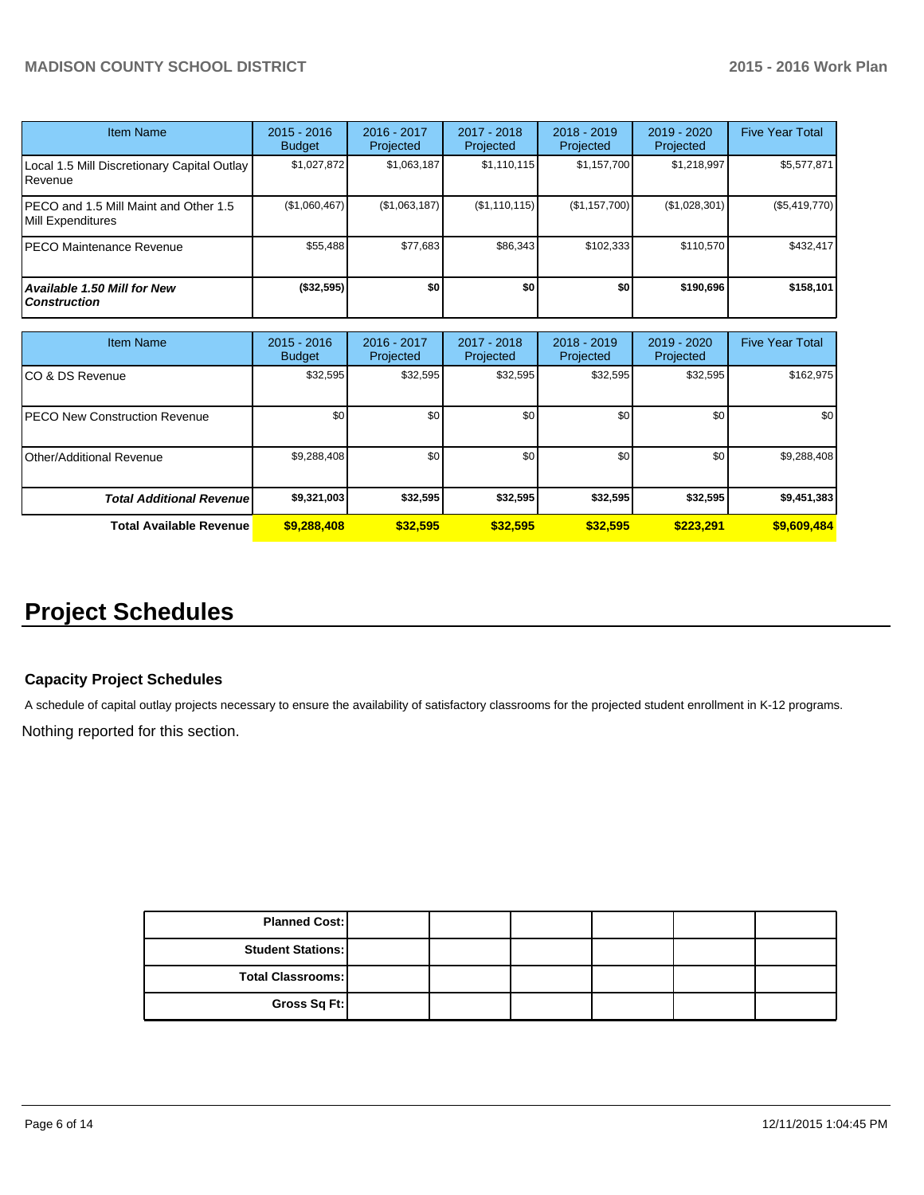| <b>Item Name</b>                                           | 2015 - 2016<br><b>Budget</b> | 2016 - 2017<br>Projected | 2017 - 2018<br>Projected | $2018 - 2019$<br>Projected | 2019 - 2020<br>Projected | <b>Five Year Total</b> |
|------------------------------------------------------------|------------------------------|--------------------------|--------------------------|----------------------------|--------------------------|------------------------|
| Local 1.5 Mill Discretionary Capital Outlay<br>Revenue     | \$1,027,872                  | \$1,063,187              | \$1,110,115              | \$1,157,700                | \$1,218,997              | \$5,577,871            |
| PECO and 1.5 Mill Maint and Other 1.5<br>Mill Expenditures | (\$1,060,467)                | (\$1,063,187)            | (S1, 110, 115)           | (\$1,157,700)              | (\$1,028,301)            | (\$5,419,770)          |
| PECO Maintenance Revenue                                   | \$55,488                     | \$77,683                 | \$86,343                 | \$102.333                  | \$110.570                | \$432,417              |
| Available 1.50 Mill for New<br><b>Construction</b>         | (\$32,595)                   | \$0                      | \$0                      | \$0                        | \$190,696                | \$158,101              |

| <b>Item Name</b>                      | $2015 - 2016$<br><b>Budget</b> | 2016 - 2017<br>Projected | 2017 - 2018<br>Projected | $2018 - 2019$<br>Projected | 2019 - 2020<br>Projected | <b>Five Year Total</b> |
|---------------------------------------|--------------------------------|--------------------------|--------------------------|----------------------------|--------------------------|------------------------|
| ICO & DS Revenue                      | \$32,595                       | \$32,595                 | \$32,595                 | \$32,595                   | \$32,595                 | \$162,975              |
| <b>IPECO New Construction Revenue</b> | \$0                            | \$0 <sub>1</sub>         | \$0                      | \$0 <sub>1</sub>           | \$0 <sub>1</sub>         | \$0                    |
| IOther/Additional Revenue             | \$9,288,408                    | \$0                      | \$0                      | \$0                        | \$0 <sub>1</sub>         | \$9,288,408            |
| <b>Total Additional Revenuel</b>      | \$9,321,003                    | \$32,595                 | \$32,595                 | \$32,595                   | \$32,595                 | \$9,451,383            |
| <b>Total Available Revenue</b>        | \$9,288,408                    | \$32,595                 | \$32,595                 | \$32.595                   | \$223.291                | \$9,609,484            |

# **Project Schedules**

# **Capacity Project Schedules**

A schedule of capital outlay projects necessary to ensure the availability of satisfactory classrooms for the projected student enrollment in K-12 programs.

Nothing reported for this section.

| <b>Planned Cost:</b>     |  |  |  |
|--------------------------|--|--|--|
| <b>Student Stations:</b> |  |  |  |
| Total Classrooms:        |  |  |  |
| Gross Sq Ft:             |  |  |  |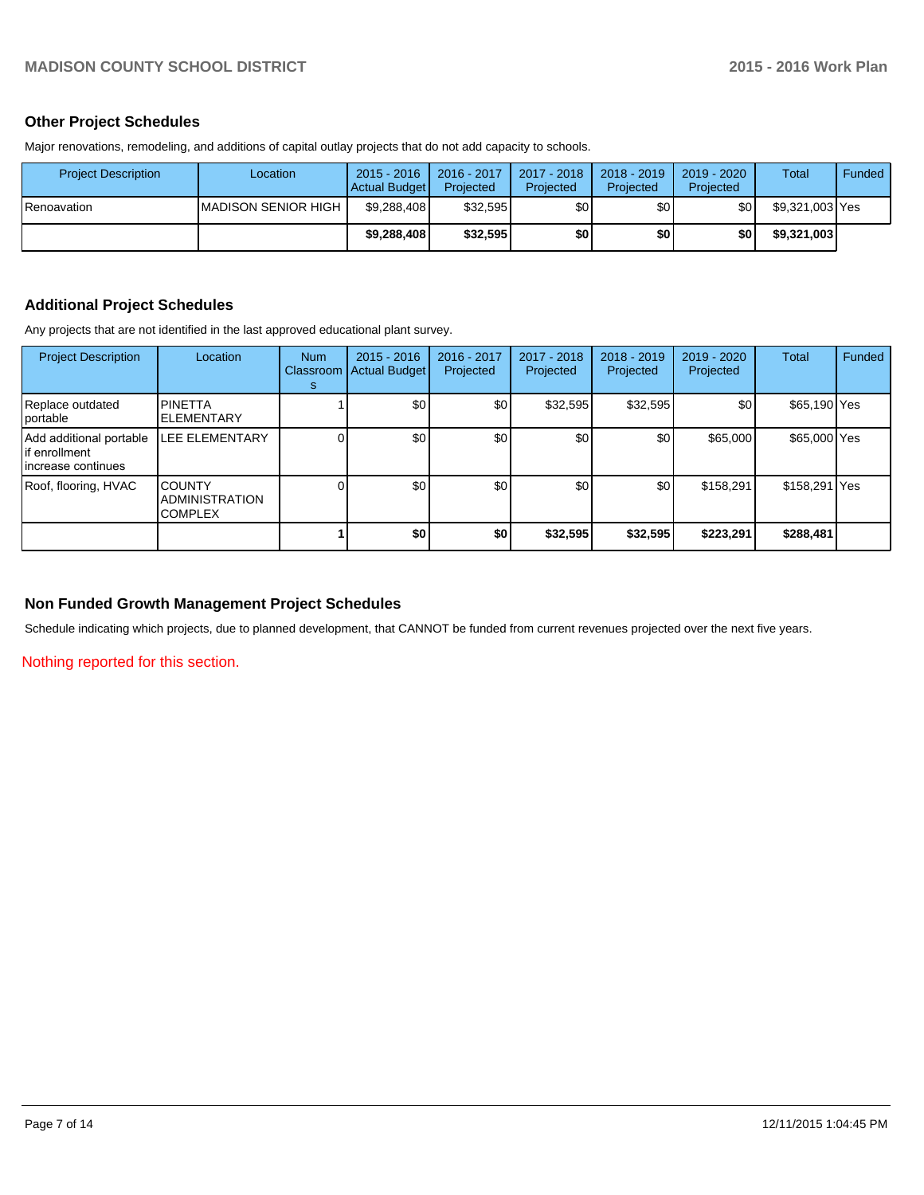# **Other Project Schedules**

Major renovations, remodeling, and additions of capital outlay projects that do not add capacity to schools.

| <b>Project Description</b> | Location                    | $2015 - 2016$<br>Actual Budget | 2016 - 2017<br>Projected | 2017 - 2018<br>Projected | $2018 - 2019$<br>Projected | $2019 - 2020$<br>Projected | Total           | Funded |
|----------------------------|-----------------------------|--------------------------------|--------------------------|--------------------------|----------------------------|----------------------------|-----------------|--------|
| I Renoavation              | <b>IMADISON SENIOR HIGH</b> | \$9,288,408                    | \$32.595                 | \$0                      | \$0                        | \$0                        | \$9,321,003 Yes |        |
|                            |                             | \$9,288,408                    | \$32.595                 | \$0                      | \$0                        | \$0                        | \$9,321,003     |        |

## **Additional Project Schedules**

Any projects that are not identified in the last approved educational plant survey.

| <b>Project Description</b>                                       | Location                                                 | <b>Num</b><br><b>Classroom</b><br>s | $2015 - 2016$<br><b>Actual Budget</b> | 2016 - 2017<br>Projected | 2017 - 2018<br>Projected | $2018 - 2019$<br>Projected | $2019 - 2020$<br>Projected | Total         | Funded |
|------------------------------------------------------------------|----------------------------------------------------------|-------------------------------------|---------------------------------------|--------------------------|--------------------------|----------------------------|----------------------------|---------------|--------|
| Replace outdated<br><i>cortable</i>                              | <b>PINETTA</b><br><b>ELEMENTARY</b>                      |                                     | \$0                                   | \$0 <sub>l</sub>         | \$32,595                 | \$32,595                   | \$0                        | \$65,190 Yes  |        |
| Add additional portable<br>lif enrollment<br>lincrease continues | <b>LEE ELEMENTARY</b>                                    |                                     | \$0                                   | \$0                      | \$0                      | \$0                        | \$65,000                   | \$65,000 Yes  |        |
| Roof, flooring, HVAC                                             | <b>COUNTY</b><br><b>ADMINISTRATION</b><br><b>COMPLEX</b> |                                     | \$0                                   | \$0                      | \$0                      | \$0                        | \$158,291                  | \$158,291 Yes |        |
|                                                                  |                                                          |                                     | \$0                                   | \$0                      | \$32,595                 | \$32,595                   | \$223,291                  | \$288,481     |        |

### **Non Funded Growth Management Project Schedules**

Schedule indicating which projects, due to planned development, that CANNOT be funded from current revenues projected over the next five years.

Nothing reported for this section.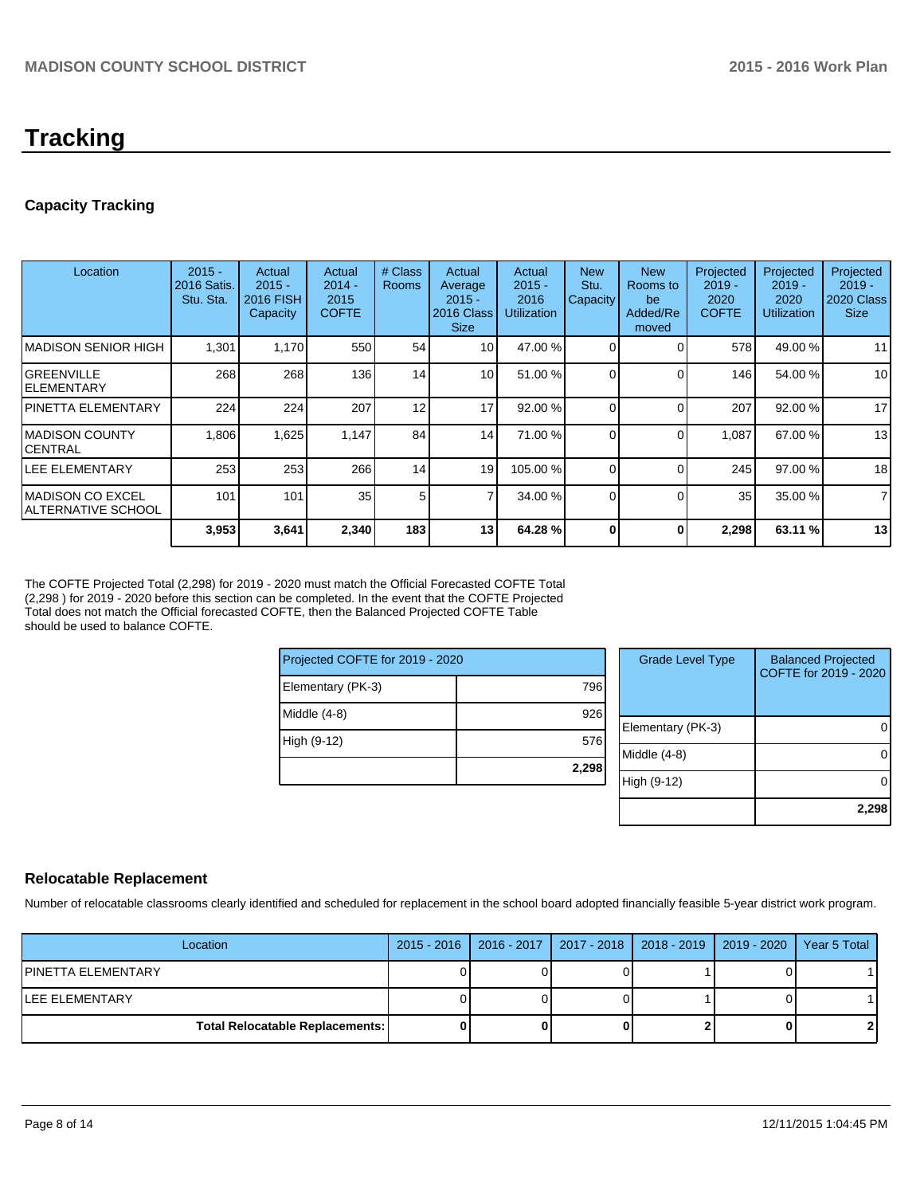# **Tracking**

# **Capacity Tracking**

| Location                                        | $2015 -$<br>2016 Satis.<br>Stu. Sta. | Actual<br>$2015 -$<br>2016 FISH<br>Capacity | Actual<br>$2014 -$<br>2015<br><b>COFTE</b> | # Class<br><b>Rooms</b> | Actual<br>Average<br>$2015 -$<br>2016 Class<br><b>Size</b> | Actual<br>$2015 -$<br>2016<br><b>Utilization</b> | <b>New</b><br>Stu.<br>Capacity | <b>New</b><br>Rooms to<br>be<br>Added/Re<br>moved | Projected<br>$2019 -$<br>2020<br><b>COFTE</b> | Projected<br>$2019 -$<br>2020<br>Utilization | Projected<br>$2019 -$<br><b>2020 Class</b><br><b>Size</b> |
|-------------------------------------------------|--------------------------------------|---------------------------------------------|--------------------------------------------|-------------------------|------------------------------------------------------------|--------------------------------------------------|--------------------------------|---------------------------------------------------|-----------------------------------------------|----------------------------------------------|-----------------------------------------------------------|
| IMADISON SENIOR HIGH                            | 1,301                                | 1,170                                       | 550                                        | 54                      | 10 <sup>1</sup>                                            | 47.00 %                                          |                                |                                                   | 578                                           | 49.00 %                                      | 11                                                        |
| IGREENVILLE<br>lelementary                      | 268                                  | 268                                         | 136                                        | 14 <sub>1</sub>         | 10 <sup>1</sup>                                            | 51.00 %                                          | $\Omega$                       |                                                   | 146                                           | 54.00 %                                      | 10 <sup>1</sup>                                           |
| IPINETTA ELEMENTARY                             | 224                                  | 224                                         | 207                                        | 12                      | 17                                                         | 92.00 %                                          |                                |                                                   | 207                                           | 92.00 %                                      | 17                                                        |
| IMADISON COUNTY<br>ICENTRAL                     | 1.806                                | 1,625                                       | 1.147                                      | 84                      | 14                                                         | 71.00 %                                          | $\Omega$                       |                                                   | 1.087                                         | 67.00 %                                      | 13                                                        |
| LEE ELEMENTARY                                  | 253                                  | 253                                         | 266                                        | 14                      | 19                                                         | 105.00 %                                         |                                |                                                   | 245                                           | 97.00 %                                      | 18                                                        |
| <b>IMADISON CO EXCEL</b><br>IALTERNATIVE SCHOOL | 101                                  | 101                                         | 35                                         | 5                       |                                                            | 34.00 %                                          | $\Omega$                       |                                                   | 35 <sub>1</sub>                               | 35.00 %                                      | $\overline{7}$                                            |
|                                                 | 3,953                                | 3,641                                       | 2,340                                      | 183                     | 13 <sub>1</sub>                                            | 64.28 %                                          |                                | 0                                                 | 2,298                                         | 63.11 %                                      | 13                                                        |

The COFTE Projected Total (2,298) for 2019 - 2020 must match the Official Forecasted COFTE Total (2,298 ) for 2019 - 2020 before this section can be completed. In the event that the COFTE Projected Total does not match the Official forecasted COFTE, then the Balanced Projected COFTE Table should be used to balance COFTE.

| Projected COFTE for 2019 - 2020 |       |  |  |  |  |
|---------------------------------|-------|--|--|--|--|
| Elementary (PK-3)               | 796   |  |  |  |  |
| Middle (4-8)                    | 926   |  |  |  |  |
| High (9-12)                     | 576   |  |  |  |  |
|                                 | 2,298 |  |  |  |  |

| <b>Grade Level Type</b> | <b>Balanced Projected</b><br>COFTE for 2019 - 2020 |
|-------------------------|----------------------------------------------------|
| Elementary (PK-3)       |                                                    |
| Middle (4-8)            |                                                    |
| High (9-12)             |                                                    |
|                         | 2.298                                              |

# **Relocatable Replacement**

Number of relocatable classrooms clearly identified and scheduled for replacement in the school board adopted financially feasible 5-year district work program.

| Location                               | 2015 - 2016   2016 - 2017   2017 - 2018   2018 - 2019   2019 - 2020   Year 5 Total |  |     |
|----------------------------------------|------------------------------------------------------------------------------------|--|-----|
| IPINETTA ELEMENTARY                    |                                                                                    |  |     |
| LEE ELEMENTARY                         |                                                                                    |  |     |
| <b>Total Relocatable Replacements:</b> |                                                                                    |  | ا 2 |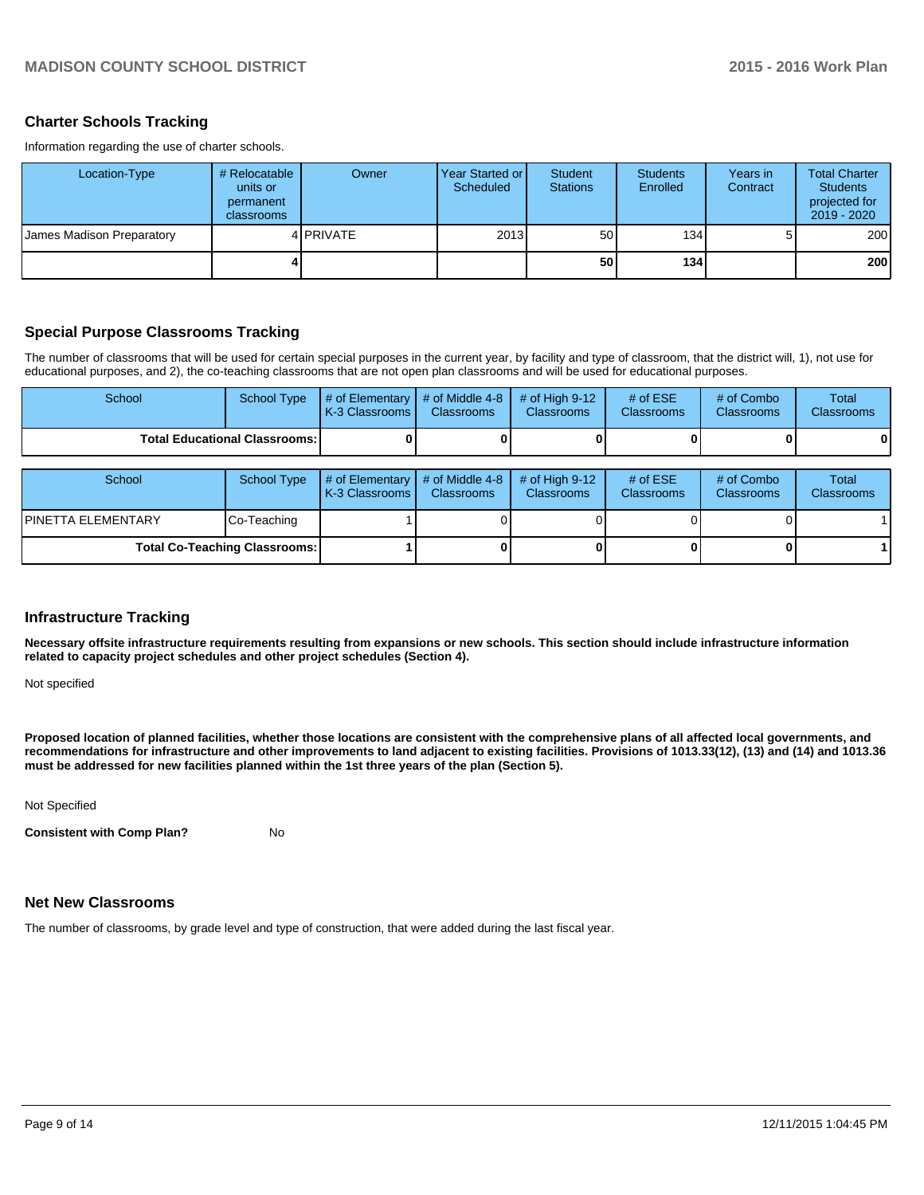# **Charter Schools Tracking**

Information regarding the use of charter schools.

| Location-Type             | # Relocatable I<br>units or<br>permanent<br>classrooms | Owner            | Year Started or I<br>Scheduled | Student<br><b>Stations</b> | <b>Students</b><br>Enrolled | Years in<br>Contract | <b>Total Charter</b><br><b>Students</b><br>projected for<br>$2019 - 2020$ |
|---------------------------|--------------------------------------------------------|------------------|--------------------------------|----------------------------|-----------------------------|----------------------|---------------------------------------------------------------------------|
| James Madison Preparatory |                                                        | 4 <b>PRIVATE</b> | 2013                           | 50 <sup>1</sup>            | 134                         |                      | 200                                                                       |
|                           |                                                        |                  |                                | 50                         | 134                         |                      | <b>200</b>                                                                |

# **Special Purpose Classrooms Tracking**

The number of classrooms that will be used for certain special purposes in the current year, by facility and type of classroom, that the district will, 1), not use for educational purposes, and 2), the co-teaching classrooms that are not open plan classrooms and will be used for educational purposes.

| School                                 | School Type | $\parallel$ # of Elementary $\parallel$ # of Middle 4-8 $\parallel$ # of High 9-12<br>K-3 Classrooms I | <b>Classrooms</b> | <b>Classrooms</b> | # of $ESE$<br><b>Classrooms</b> | # of Combo<br><b>Classrooms</b> | Total<br><b>Classrooms</b> |
|----------------------------------------|-------------|--------------------------------------------------------------------------------------------------------|-------------------|-------------------|---------------------------------|---------------------------------|----------------------------|
| <b>Total Educational Classrooms: I</b> |             |                                                                                                        |                   |                   |                                 | 0                               | 0                          |

| School                               | School Type | $\parallel$ # of Elementary $\parallel$ # of Middle 4-8 $\parallel$<br>K-3 Classrooms | <b>Classrooms</b> | $#$ of High 9-12<br><b>Classrooms</b> | # of $ESE$<br><b>Classrooms</b> | # of Combo<br><b>Classrooms</b> | <b>Total</b><br><b>Classrooms</b> |
|--------------------------------------|-------------|---------------------------------------------------------------------------------------|-------------------|---------------------------------------|---------------------------------|---------------------------------|-----------------------------------|
| <b>PINETTA ELEMENTARY</b>            | Co-Teaching |                                                                                       |                   |                                       |                                 |                                 |                                   |
| <b>Total Co-Teaching Classrooms:</b> |             |                                                                                       |                   | 01                                    | 0                               |                                 |                                   |

#### **Infrastructure Tracking**

**Necessary offsite infrastructure requirements resulting from expansions or new schools. This section should include infrastructure information related to capacity project schedules and other project schedules (Section 4).**

Not specified

**Proposed location of planned facilities, whether those locations are consistent with the comprehensive plans of all affected local governments, and recommendations for infrastructure and other improvements to land adjacent to existing facilities. Provisions of 1013.33(12), (13) and (14) and 1013.36 must be addressed for new facilities planned within the 1st three years of the plan (Section 5).**

Not Specified

**Consistent with Comp Plan?** No

# **Net New Classrooms**

The number of classrooms, by grade level and type of construction, that were added during the last fiscal year.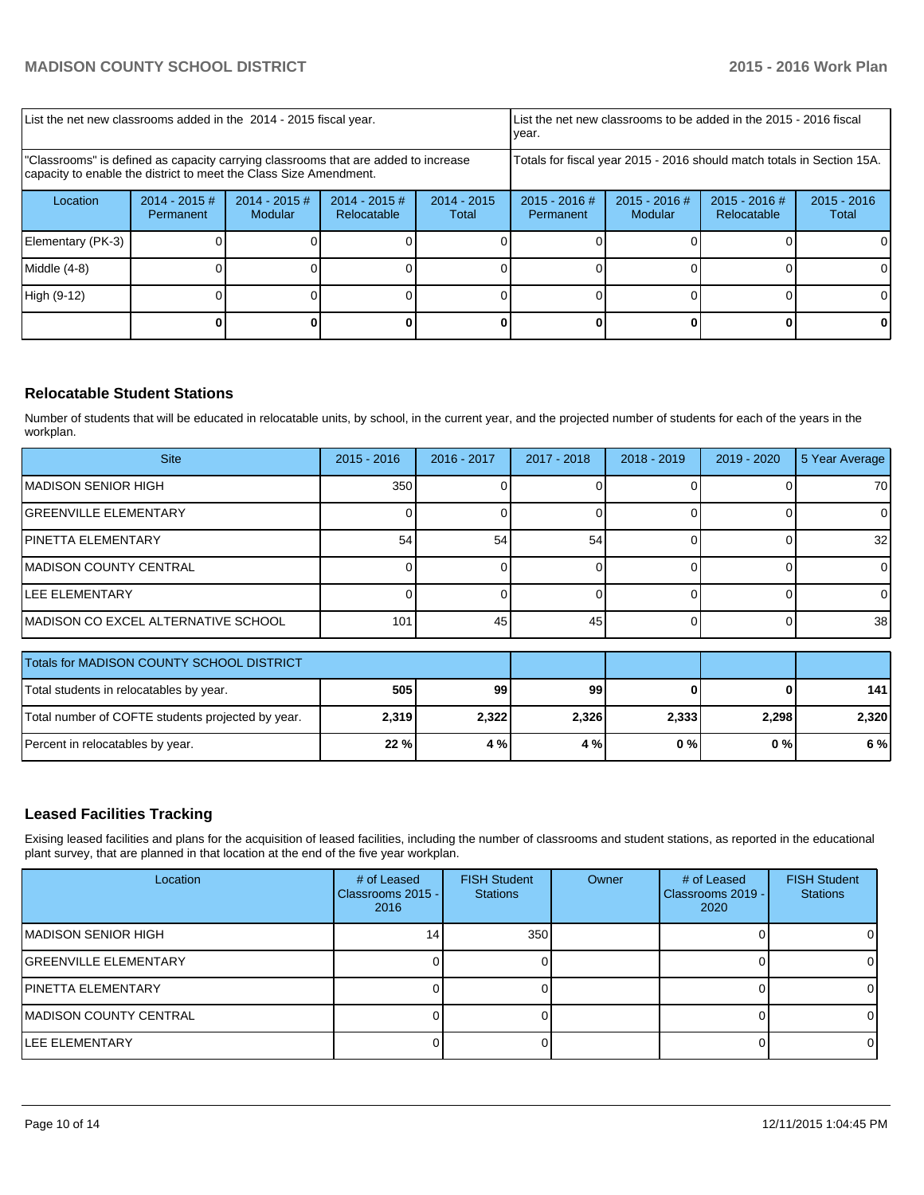| List the net new classrooms added in the 2014 - 2015 fiscal year.                                                                                       |                              |                                   |                                |                        | List the net new classrooms to be added in the 2015 - 2016 fiscal<br>Ivear. |                            |                                |                        |  |
|---------------------------------------------------------------------------------------------------------------------------------------------------------|------------------------------|-----------------------------------|--------------------------------|------------------------|-----------------------------------------------------------------------------|----------------------------|--------------------------------|------------------------|--|
| "Classrooms" is defined as capacity carrying classrooms that are added to increase<br>capacity to enable the district to meet the Class Size Amendment. |                              |                                   |                                |                        | Totals for fiscal year 2015 - 2016 should match totals in Section 15A.      |                            |                                |                        |  |
| Location                                                                                                                                                | $2014 - 2015$ #<br>Permanent | $2014 - 2015$ #<br><b>Modular</b> | $2014 - 2015$ #<br>Relocatable | $2014 - 2015$<br>Total | $2015 - 2016$ #<br>Permanent                                                | $2015 - 2016$ #<br>Modular | $2015 - 2016$ #<br>Relocatable | $2015 - 2016$<br>Total |  |
| Elementary (PK-3)                                                                                                                                       |                              |                                   |                                |                        |                                                                             |                            |                                | ΩI                     |  |
| Middle $(4-8)$                                                                                                                                          |                              |                                   |                                |                        |                                                                             |                            |                                | ΟI                     |  |
| High (9-12)                                                                                                                                             |                              |                                   |                                |                        |                                                                             |                            |                                | O.                     |  |
|                                                                                                                                                         |                              |                                   |                                |                        |                                                                             |                            |                                |                        |  |

# **Relocatable Student Stations**

Number of students that will be educated in relocatable units, by school, in the current year, and the projected number of students for each of the years in the workplan.

| <b>Site</b>                         | $2015 - 2016$ | 2016 - 2017 | 2017 - 2018 | $2018 - 2019$ | 2019 - 2020 | 5 Year Average  |
|-------------------------------------|---------------|-------------|-------------|---------------|-------------|-----------------|
| <b>MADISON SENIOR HIGH</b>          | 350           |             |             |               |             | 70              |
| <b>IGREENVILLE ELEMENTARY</b>       |               |             |             |               |             | $\Omega$        |
| IPINETTA ELEMENTARY                 | 54            | 54          | 54          |               |             | 32 <sub>l</sub> |
| <b>IMADISON COUNTY CENTRAL</b>      |               |             |             |               |             |                 |
| <b>ILEE ELEMENTARY</b>              |               |             |             |               |             | ΩI              |
| MADISON CO EXCEL ALTERNATIVE SCHOOL | 101           | 45          | 45          |               |             | 38 <sup>1</sup> |

| <b>Totals for MADISON COUNTY SCHOOL DISTRICT</b>  |          |       |       |       |       |       |
|---------------------------------------------------|----------|-------|-------|-------|-------|-------|
| Total students in relocatables by year.           | 99<br>99 |       |       | 1411  |       |       |
| Total number of COFTE students projected by year. | 2,319    | 2,322 | 2,326 | 2,333 | 2.298 | 2.320 |
| Percent in relocatables by year.                  | 22%      | 4%    | 4 %   | 0 % I | 0%    | 6%    |

# **Leased Facilities Tracking**

Exising leased facilities and plans for the acquisition of leased facilities, including the number of classrooms and student stations, as reported in the educational plant survey, that are planned in that location at the end of the five year workplan.

| Location                      | # of Leased<br>Classrooms 2015 - I<br>2016 | <b>FISH Student</b><br><b>Stations</b> | Owner | # of Leased<br>Classrooms 2019 - I<br>2020 | <b>FISH Student</b><br><b>Stations</b> |
|-------------------------------|--------------------------------------------|----------------------------------------|-------|--------------------------------------------|----------------------------------------|
| IMADISON SENIOR HIGH          | 141                                        | 350                                    |       |                                            |                                        |
| <b>IGREENVILLE ELEMENTARY</b> |                                            |                                        |       |                                            |                                        |
| <b>IPINETTA ELEMENTARY</b>    |                                            |                                        |       |                                            |                                        |
| IMADISON COUNTY CENTRAL       |                                            |                                        |       |                                            |                                        |
| <b>ILEE ELEMENTARY</b>        |                                            |                                        |       |                                            |                                        |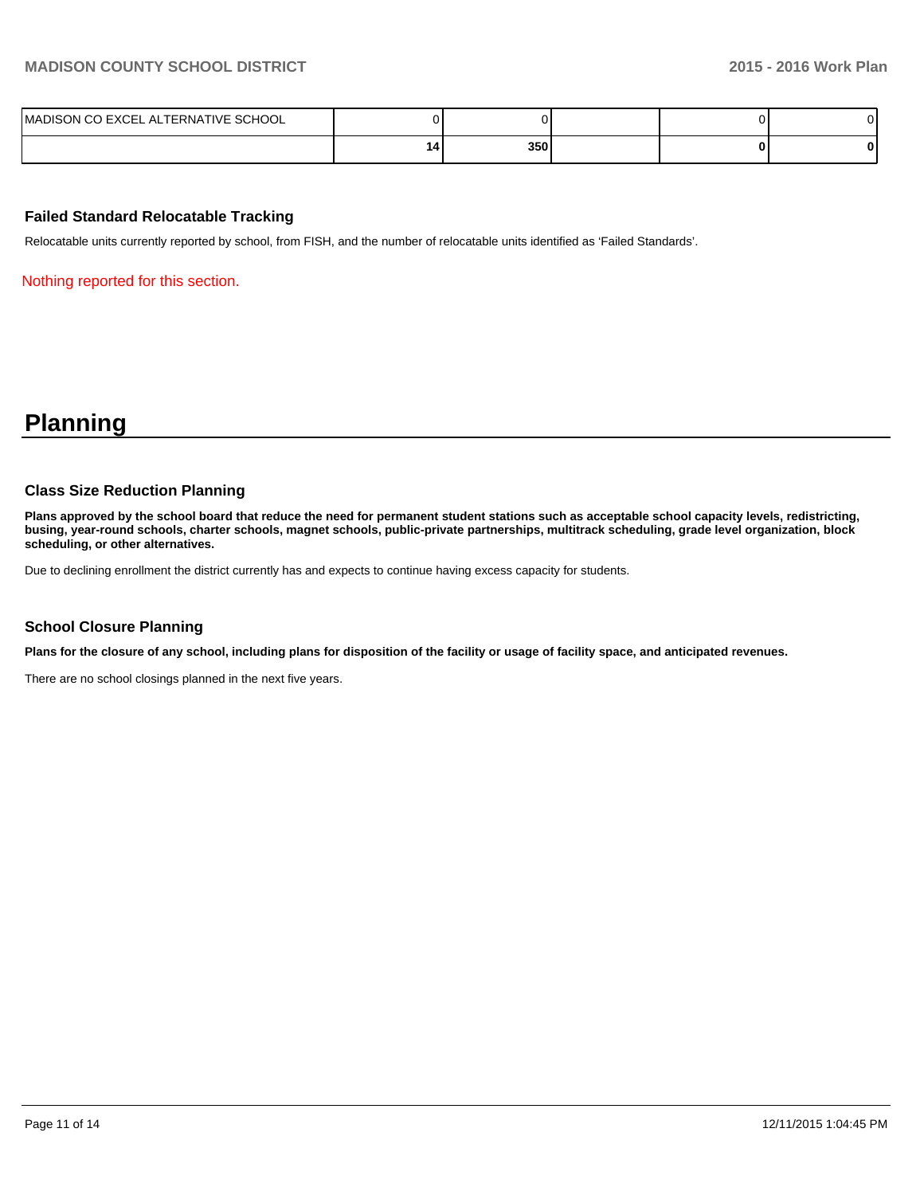| <b>LTERNATIVE SCHOOL</b><br>CO EXCEL<br>$\Delta$<br><b>IMADISON</b><br>JN CO |    |     |  |  |
|------------------------------------------------------------------------------|----|-----|--|--|
|                                                                              | 14 | 350 |  |  |

# **Failed Standard Relocatable Tracking**

Relocatable units currently reported by school, from FISH, and the number of relocatable units identified as 'Failed Standards'.

Nothing reported for this section.

# **Planning**

#### **Class Size Reduction Planning**

**Plans approved by the school board that reduce the need for permanent student stations such as acceptable school capacity levels, redistricting, busing, year-round schools, charter schools, magnet schools, public-private partnerships, multitrack scheduling, grade level organization, block scheduling, or other alternatives.**

Due to declining enrollment the district currently has and expects to continue having excess capacity for students.

# **School Closure Planning**

**Plans for the closure of any school, including plans for disposition of the facility or usage of facility space, and anticipated revenues.**

There are no school closings planned in the next five years.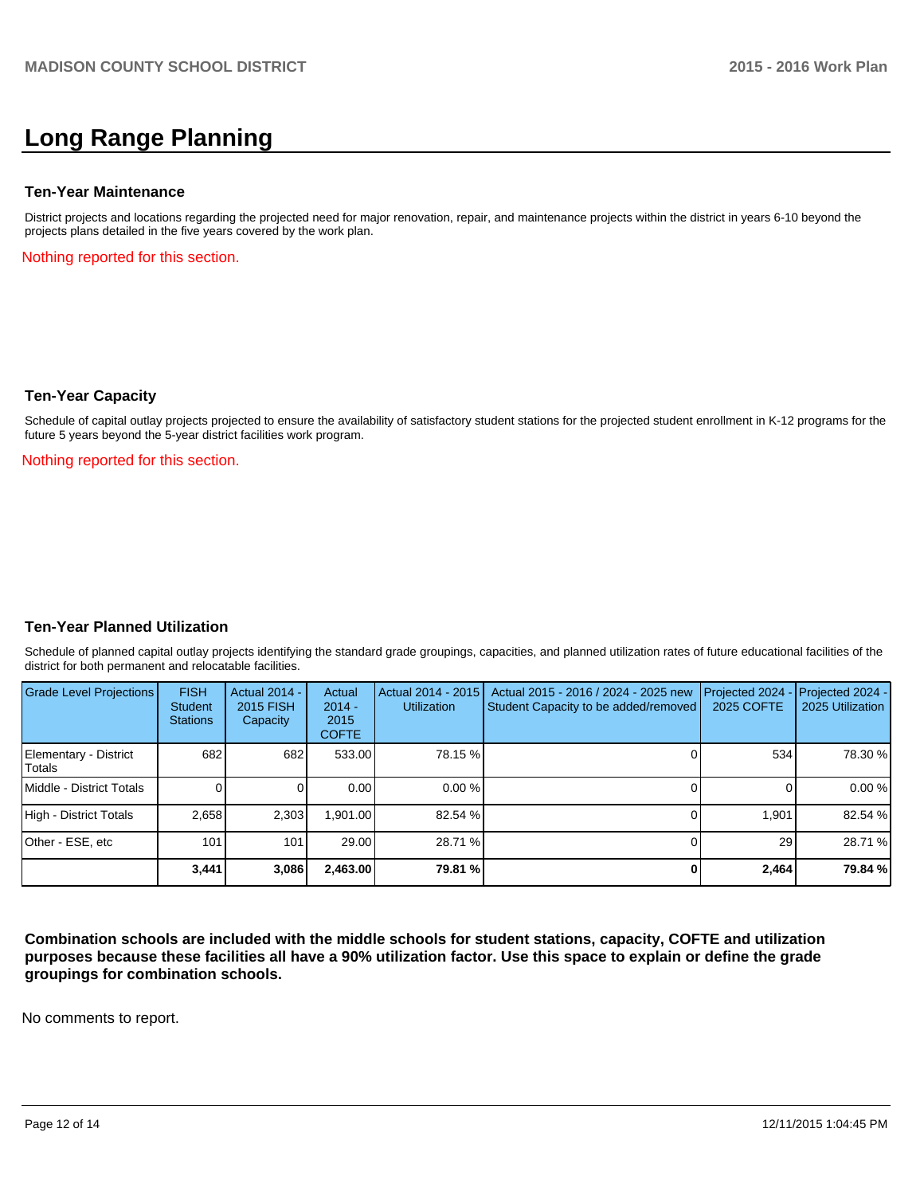# **Long Range Planning**

#### **Ten-Year Maintenance**

District projects and locations regarding the projected need for major renovation, repair, and maintenance projects within the district in years 6-10 beyond the projects plans detailed in the five years covered by the work plan.

Nothing reported for this section.

#### **Ten-Year Capacity**

Schedule of capital outlay projects projected to ensure the availability of satisfactory student stations for the projected student enrollment in K-12 programs for the future 5 years beyond the 5-year district facilities work program.

Nothing reported for this section.

#### **Ten-Year Planned Utilization**

Schedule of planned capital outlay projects identifying the standard grade groupings, capacities, and planned utilization rates of future educational facilities of the district for both permanent and relocatable facilities.

| Grade Level Projections         | <b>FISH</b><br><b>Student</b><br><b>Stations</b> | <b>Actual 2014 -</b><br>2015 FISH<br>Capacity | Actual<br>$2014 -$<br>2015<br><b>COFTE</b> | Actual 2014 - 2015<br>Utilization | Actual 2015 - 2016 / 2024 - 2025 new<br>Student Capacity to be added/removed | Projected 2024<br>2025 COFTE | $-$ Projected 2024 -<br>2025 Utilization |
|---------------------------------|--------------------------------------------------|-----------------------------------------------|--------------------------------------------|-----------------------------------|------------------------------------------------------------------------------|------------------------------|------------------------------------------|
| Elementary - District<br>Totals | 682                                              | 682                                           | 533.00                                     | 78.15 %                           |                                                                              | 534                          | 78.30 %                                  |
| Middle - District Totals        |                                                  |                                               | 0.00                                       | $0.00\%$                          |                                                                              |                              | 0.00%                                    |
| High - District Totals          | 2.658                                            | 2.303                                         | 1.901.00                                   | 82.54 %                           |                                                                              | 1.901                        | 82.54 %                                  |
| Other - ESE, etc                | 101                                              | 101                                           | 29.00                                      | 28.71 %                           |                                                                              | 29                           | 28.71 %                                  |
|                                 | 3,441                                            | 3,086                                         | 2,463.00                                   | 79.81 %                           |                                                                              | 2,464                        | 79.84 %                                  |

**Combination schools are included with the middle schools for student stations, capacity, COFTE and utilization purposes because these facilities all have a 90% utilization factor. Use this space to explain or define the grade groupings for combination schools.**

No comments to report.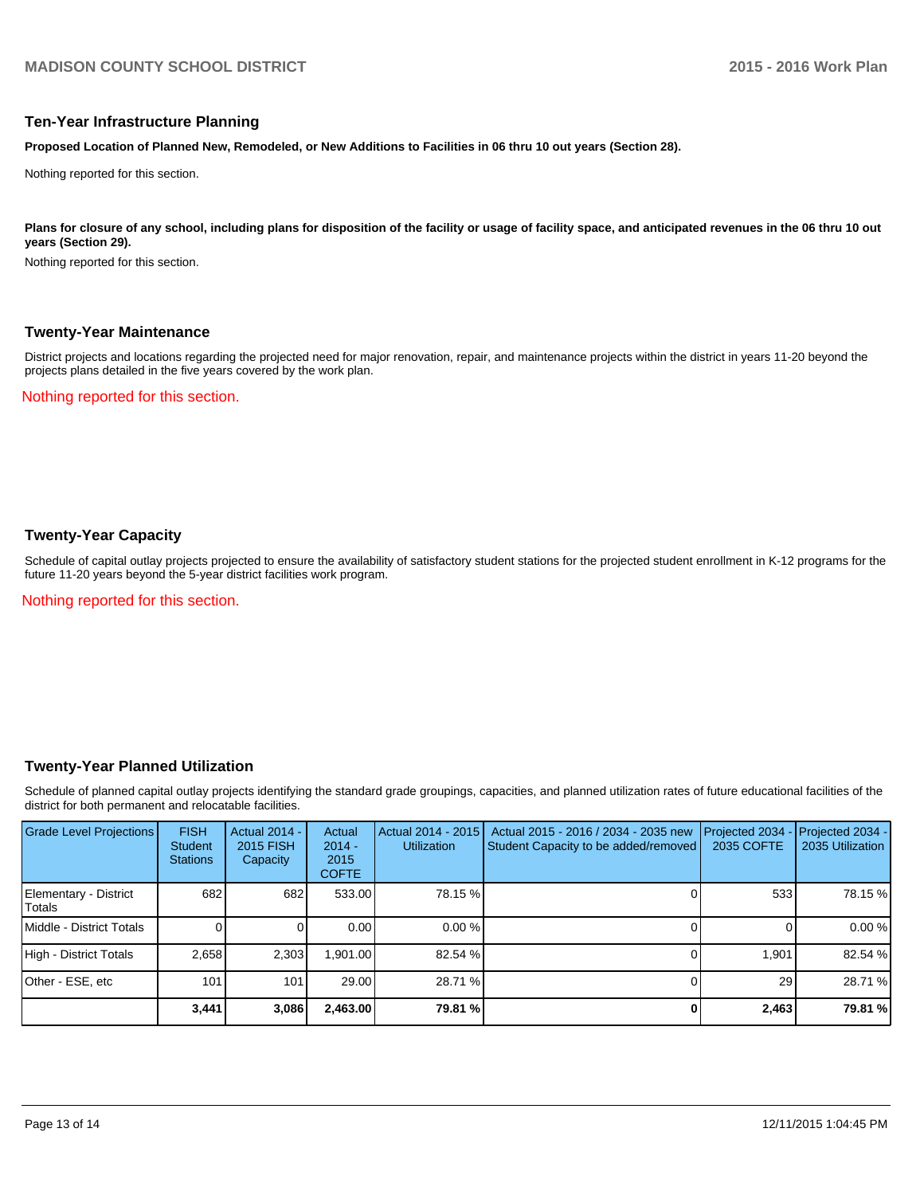#### **Ten-Year Infrastructure Planning**

**Proposed Location of Planned New, Remodeled, or New Additions to Facilities in 06 thru 10 out years (Section 28).**

Nothing reported for this section.

Plans for closure of any school, including plans for disposition of the facility or usage of facility space, and anticipated revenues in the 06 thru 10 out **years (Section 29).**

Nothing reported for this section.

#### **Twenty-Year Maintenance**

District projects and locations regarding the projected need for major renovation, repair, and maintenance projects within the district in years 11-20 beyond the projects plans detailed in the five years covered by the work plan.

Nothing reported for this section.

# **Twenty-Year Capacity**

Schedule of capital outlay projects projected to ensure the availability of satisfactory student stations for the projected student enrollment in K-12 programs for the future 11-20 years beyond the 5-year district facilities work program.

Nothing reported for this section.

#### **Twenty-Year Planned Utilization**

Schedule of planned capital outlay projects identifying the standard grade groupings, capacities, and planned utilization rates of future educational facilities of the district for both permanent and relocatable facilities.

| <b>Grade Level Projections</b>   | <b>FISH</b><br><b>Student</b><br><b>Stations</b> | <b>Actual 2014 -</b><br>2015 FISH<br>Capacity | Actual<br>$2014 -$<br>2015<br><b>COFTE</b> | Actual 2014 - 2015<br><b>Utilization</b> | Actual 2015 - 2016 / 2034 - 2035 new<br>Student Capacity to be added/removed | Projected 2034<br>2035 COFTE | Projected 2034 -<br>2035 Utilization |
|----------------------------------|--------------------------------------------------|-----------------------------------------------|--------------------------------------------|------------------------------------------|------------------------------------------------------------------------------|------------------------------|--------------------------------------|
| Elementary - District<br> Totals | 682                                              | 682                                           | 533.00                                     | 78.15 %                                  |                                                                              | 533                          | 78.15 %                              |
| Middle - District Totals         |                                                  |                                               | 0.00                                       | 0.00%                                    |                                                                              |                              | 0.00%                                |
| High - District Totals           | 2.658                                            | 2,303                                         | 1.901.00                                   | 82.54 %                                  |                                                                              | 1.901                        | 82.54 %                              |
| Other - ESE, etc                 | 101                                              | 101                                           | 29.00                                      | 28.71 %                                  |                                                                              | 29                           | 28.71 %                              |
|                                  | 3,441                                            | 3,086                                         | 2,463.00                                   | 79.81 %                                  |                                                                              | 2,463                        | 79.81 %                              |